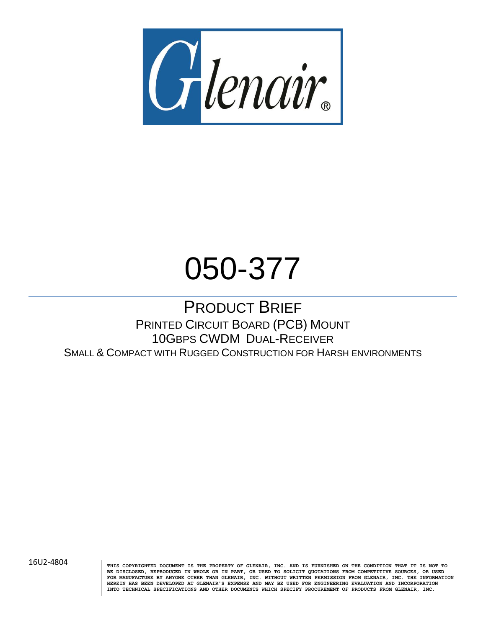

# 050-377

# PRODUCT BRIEF PRINTED CIRCUIT BOARD (PCB) MOUNT 10GBPS CWDM DUAL-RECEIVER SMALL & COMPACT WITH RUGGED CONSTRUCTION FOR HARSH ENVIRONMENTS

16U2-4804 **THIS COPYRIGHTED DOCUMENT IS THE PROPERTY OF GLENAIR, INC. AND IS FURNISHED ON THE CONDITION THAT IT IS NOT TO BE DISCLOSED, REPRODUCED IN WHOLE OR IN PART, OR USED TO SOLICIT QUOTATIONS FROM COMPETITIVE SOURCES, OR USED FOR MANUFACTURE BY ANYONE OTHER THAN GLENAIR, INC. WITHOUT WRITTEN PERMISSION FROM GLENAIR, INC. THE INFORMATION HEREIN HAS BEEN DEVELOPED AT GLENAIR'S EXPENSE AND MAY BE USED FOR ENGINEERING EVALUATION AND INCORPORATION INTO TECHNICAL SPECIFICATIONS AND OTHER DOCUMENTS WHICH SPECIFY PROCUREMENT OF PRODUCTS FROM GLENAIR, INC.**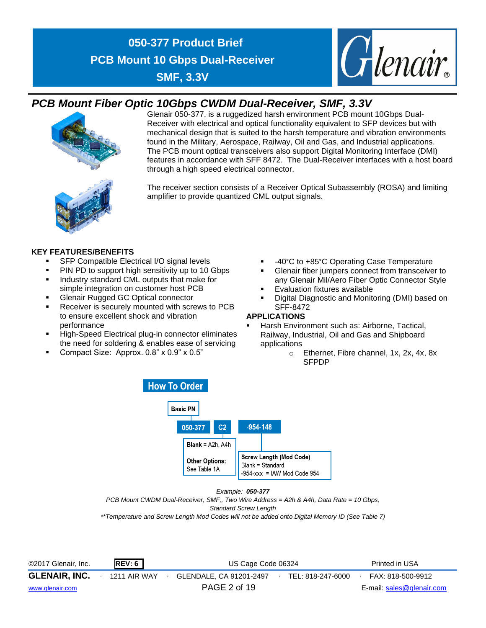

### *PCB Mount Fiber Optic 10Gbps CWDM Dual-Receiver, SMF, 3.3V*



Glenair 050-377, is a ruggedized harsh environment PCB mount 10Gbps Dual-Receiver with electrical and optical functionality equivalent to SFP devices but with mechanical design that is suited to the harsh temperature and vibration environments found in the Military, Aerospace, Railway, Oil and Gas, and Industrial applications. The PCB mount optical transceivers also support Digital Monitoring Interface (DMI) features in accordance with SFF 8472. The Dual-Receiver interfaces with a host board through a high speed electrical connector.



The receiver section consists of a Receiver Optical Subassembly (ROSA) and limiting amplifier to provide quantized CML output signals.

### **KEY FEATURES/BENEFITS**

- SFP Compatible Electrical I/O signal levels
- PIN PD to support high sensitivity up to 10 Gbps
- Industry standard CML outputs that make for simple integration on customer host PCB
- **Glenair Rugged GC Optical connector**
- Receiver is securely mounted with screws to PCB to ensure excellent shock and vibration performance
- High-Speed Electrical plug-in connector eliminates the need for soldering & enables ease of servicing
- Compact Size: Approx. 0.8" x 0.9" x 0.5"
- -40°C to +85°C Operating Case Temperature
- Glenair fiber jumpers connect from transceiver to any Glenair Mil/Aero Fiber Optic Connector Style
- **Evaluation fixtures available**
- Digital Diagnostic and Monitoring (DMI) based on SFF-8472

### **APPLICATIONS**

- Harsh Environment such as: Airborne, Tactical, Railway, Industrial, Oil and Gas and Shipboard applications
	- o Ethernet, Fibre channel, 1x, 2x, 4x, 8x SFPDP



### *Example: 050-377*

*PCB Mount CWDM Dual-Receiver, SMF,, Two Wire Address = A2h & A4h, Data Rate = 10 Gbps,* 

*Standard Screw Length*

*\*\*Temperature and Screw Length Mod Codes will not be added onto Digital Memory ID (See Table 7)*

| ©2017 Glenair, Inc.  | REV: 6       | US Cage Code 06324      |  |                   | Printed in USA            |
|----------------------|--------------|-------------------------|--|-------------------|---------------------------|
| <b>GLENAIR, INC.</b> | 1211 AIR WAY | GLENDALE. CA 91201-2497 |  | TEL: 818-247-6000 | FAX: 818-500-9912         |
| www.glenair.com      |              | PAGE 2 of 19            |  |                   | E-mail: sales@glenair.com |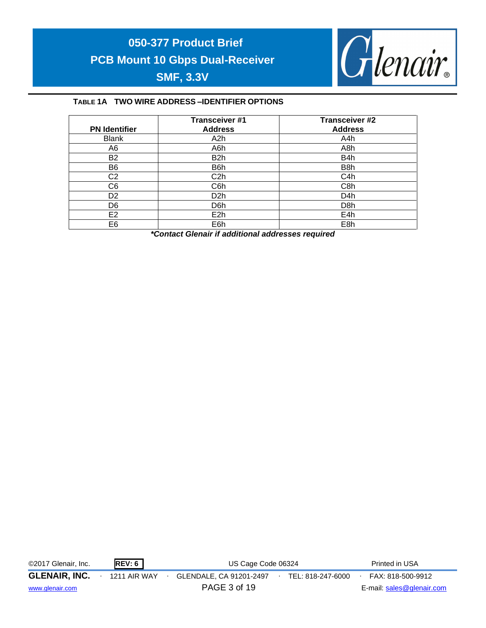

### **TABLE 1A TWO WIRE ADDRESS –IDENTIFIER OPTIONS**

| <b>PN Identifier</b> | <b>Transceiver #1</b><br><b>Address</b> | <b>Transceiver #2</b><br><b>Address</b> |
|----------------------|-----------------------------------------|-----------------------------------------|
| <b>Blank</b>         | A2h                                     | A4h                                     |
| A6                   | A6h                                     | A8h                                     |
| <b>B2</b>            | B2h                                     | B4h                                     |
| B6                   | B6h                                     | B8h                                     |
| C <sub>2</sub>       | C2h                                     | C4h                                     |
| C <sub>6</sub>       | C6h                                     | C8h                                     |
| D <sub>2</sub>       | D2h                                     | D4h                                     |
| D6                   | D6h                                     | D <sub>8</sub> h                        |
| E <sub>2</sub>       | E2h                                     | E4h                                     |
| E6                   | E6h                                     | E8h                                     |

*\*Contact Glenair if additional addresses required*

| ©2017 Glenair, Inc.  | REV: 6       | US Cage Code 06324      |  |                   |  | Printed in USA            |
|----------------------|--------------|-------------------------|--|-------------------|--|---------------------------|
| <b>GLENAIR, INC.</b> | 1211 AIR WAY | GLENDALE, CA 91201-2497 |  | TEL: 818-247-6000 |  | FAX: 818-500-9912         |
| www.glenair.com      |              | PAGE 3 of 19            |  |                   |  | E-mail: sales@glenair.com |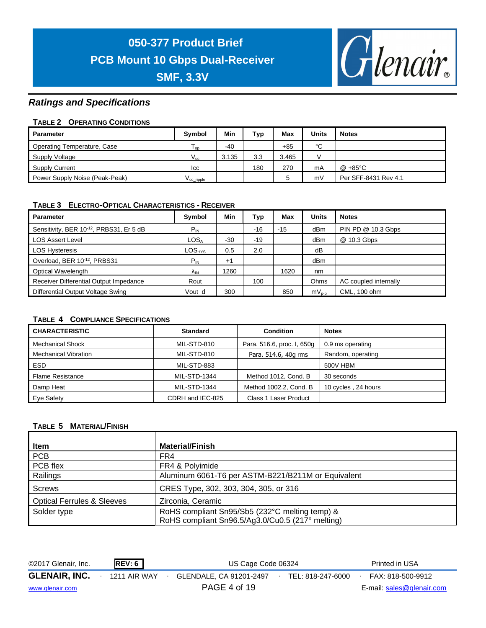



### *Ratings and Specifications*

### **TABLE 2 OPERATING CONDITIONS**

| Parameter                      | <b>Symbol</b>         | Min   | Тур | Max   | Units | <b>Notes</b>         |
|--------------------------------|-----------------------|-------|-----|-------|-------|----------------------|
| Operating Temperature, Case    | l op                  | $-40$ |     | $+85$ | °C    |                      |
| Supply Voltage                 | $V_{cc}$              | 3.135 | 3.3 | 3.465 |       |                      |
| <b>Supply Current</b>          | Icc                   |       | 180 | 270   | mA    | @ +85°C              |
| Power Supply Noise (Peak-Peak) | V <sub>ccripple</sub> |       |     | 5     | mV    | Per SFF-8431 Rev 4.1 |

### **TABLE 3 ELECTRO-OPTICAL CHARACTERISTICS - RECEIVER**

| <b>Parameter</b>                        | Symbol                        | Min   | Тур   | Max   | <b>Units</b>    | <b>Notes</b>          |
|-----------------------------------------|-------------------------------|-------|-------|-------|-----------------|-----------------------|
| Sensitivity, BER 10-12, PRBS31, Er 5 dB | $P_{IN}$                      |       | $-16$ | $-15$ | dBm             | PIN PD @ 10.3 Gbps    |
| <b>LOS Assert Level</b>                 | LOS <sub>A</sub>              | $-30$ | $-19$ |       | dB <sub>m</sub> | @ 10.3 Gbps           |
| <b>LOS Hysteresis</b>                   | $\mathsf{LOS}_{\mathsf{HYS}}$ | 0.5   | 2.0   |       | dB              |                       |
| Overload, BER 10-12, PRBS31             | $P_{IN}$                      | $+1$  |       |       | dBm             |                       |
| Optical Wavelength                      | <b>AIN</b>                    | 1260  |       | 1620  | nm              |                       |
| Receiver Differential Output Impedance  | Rout                          |       | 100   |       | Ohms            | AC coupled internally |
| Differential Output Voltage Swing       | Vout d                        | 300   |       | 850   | $mV_{p-p}$      | CML, 100 ohm          |

### **TABLE 4 COMPLIANCE SPECIFICATIONS**

| <b>CHARACTERISTIC</b>       | <b>Standard</b>     | <b>Condition</b>           | <b>Notes</b>        |
|-----------------------------|---------------------|----------------------------|---------------------|
| <b>Mechanical Shock</b>     | MIL-STD-810         | Para. 516.6, proc. I, 650g | 0.9 ms operating    |
| <b>Mechanical Vibration</b> | MIL-STD-810         | Para. 514.6, 40g rms       | Random, operating   |
| ESD.                        | MIL-STD-883         |                            | 500V HBM            |
| <b>Flame Resistance</b>     | <b>MIL-STD-1344</b> | Method 1012, Cond. B       | 30 seconds          |
| Damp Heat                   | MIL-STD-1344        | Method 1002.2, Cond. B     | 10 cycles, 24 hours |
| Eye Safety                  | CDRH and IEC-825    | Class 1 Laser Product      |                     |

### **TABLE 5 MATERIAL/FINISH**

| <b>Item</b>                           | <b>Material/Finish</b>                             |
|---------------------------------------|----------------------------------------------------|
| <b>PCB</b>                            | FR4                                                |
| PCB flex                              | FR4 & Polyimide                                    |
| Railings                              | Aluminum 6061-T6 per ASTM-B221/B211M or Equivalent |
| Screws                                | CRES Type, 302, 303, 304, 305, or 316              |
| <b>Optical Ferrules &amp; Sleeves</b> | Zirconia, Ceramic                                  |
| Solder type                           | RoHS compliant Sn95/Sb5 (232°C melting temp) &     |
|                                       | RoHS compliant Sn96.5/Ag3.0/Cu0.5 (217° melting)   |

| ©2017 Glenair, Inc.  | REV: 6       | US Cage Code 06324      |  |                   |  | Printed in USA            |
|----------------------|--------------|-------------------------|--|-------------------|--|---------------------------|
| <b>GLENAIR, INC.</b> | 1211 AIR WAY | GLENDALE, CA 91201-2497 |  | TEL: 818-247-6000 |  | FAX: 818-500-9912         |
| www.glenair.com      |              | PAGE 4 of 19            |  |                   |  | E-mail: sales@glenair.com |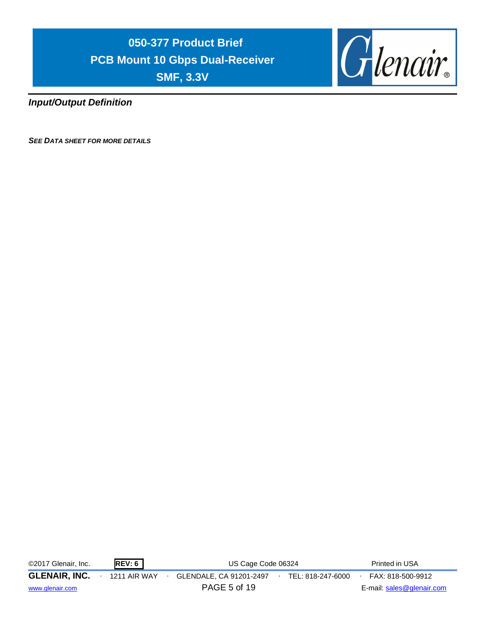

*Input/Output Definition*

*SEE DATA SHEET FOR MORE DETAILS*

| ©2017 Glenair, Inc.                     | <b>REV: 6</b> | US Cage Code 06324                                           | Printed in USA                                 |
|-----------------------------------------|---------------|--------------------------------------------------------------|------------------------------------------------|
| <b>GLENAIR, INC.</b><br>www.glenair.com | 1211 AIR WAY  | GLENDALE, CA 91201-2497<br>TEL: 818-247-6000<br>PAGE 5 of 19 | FAX: 818-500-9912<br>E-mail: sales@glenair.com |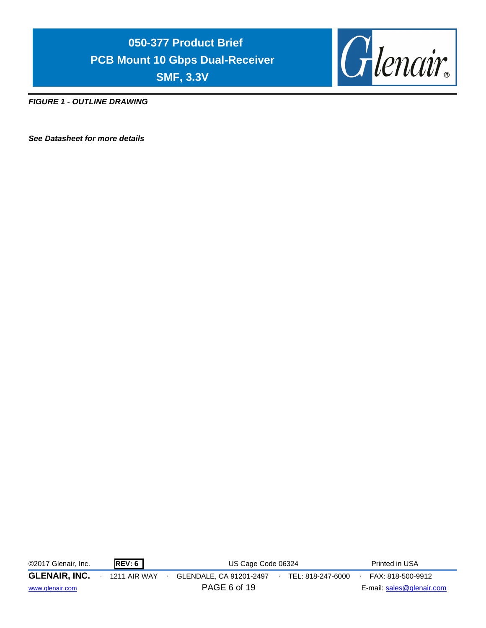

*FIGURE 1 - OUTLINE DRAWING*

*See Datasheet for more details*

| ©2017 Glenair, Inc.  | <b>REV: 6</b>       | US Cage Code 06324                           | Printed in USA            |
|----------------------|---------------------|----------------------------------------------|---------------------------|
| <b>GLENAIR, INC.</b> | <b>1211 AIR WAY</b> | GLENDALE, CA 91201-2497<br>TEL: 818-247-6000 | FAX: 818-500-9912         |
| www.glenair.com      |                     | PAGE 6 of 19                                 | E-mail: sales@glenair.com |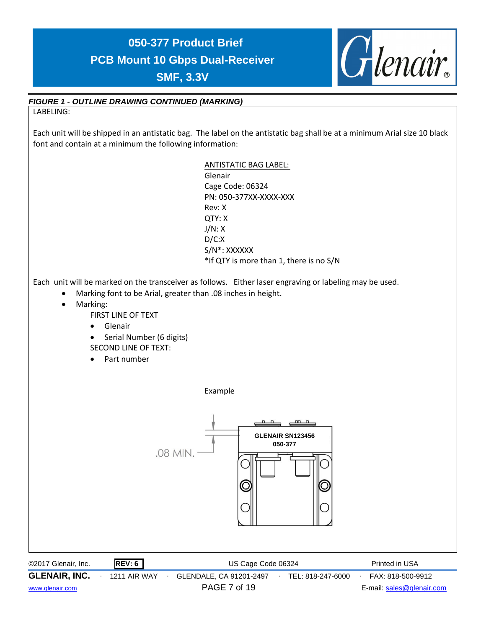

### *FIGURE 1 - OUTLINE DRAWING CONTINUED (MARKING)*

LABELING:

Each unit will be shipped in an antistatic bag. The label on the antistatic bag shall be at a minimum Arial size 10 black font and contain at a minimum the following information:

> ANTISTATIC BAG LABEL: Glenair Cage Code: 06324 PN: 050-377XX-XXXX-XXX Rev: X QTY: X J/N: X D/C:X S/N\*: XXXXXX \*If QTY is more than 1, there is no S/N

Each unit will be marked on the transceiver as follows. Either laser engraving or labeling may be used.

- Marking font to be Arial, greater than .08 inches in height.
- Marking:

FIRST LINE OF TEXT

• Glenair

• Serial Number (6 digits) SECOND LINE OF TEXT:

• Part number

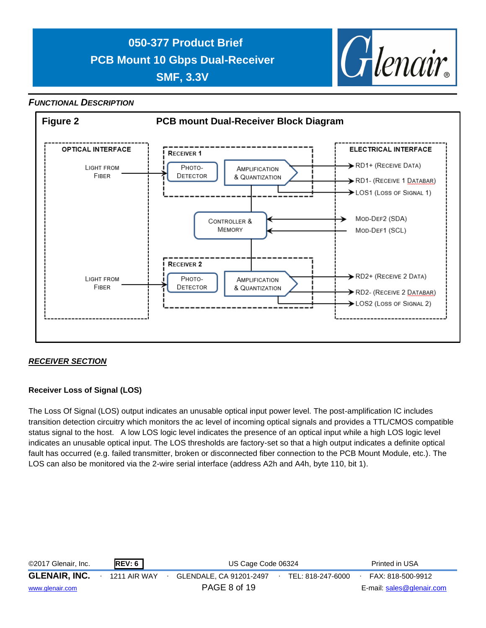

### *FUNCTIONAL DESCRIPTION*



### *RECEIVER SECTION*

### **Receiver Loss of Signal (LOS)**

The Loss Of Signal (LOS) output indicates an unusable optical input power level. The post-amplification IC includes transition detection circuitry which monitors the ac level of incoming optical signals and provides a TTL/CMOS compatible status signal to the host. A low LOS logic level indicates the presence of an optical input while a high LOS logic level indicates an unusable optical input. The LOS thresholds are factory-set so that a high output indicates a definite optical fault has occurred (e.g. failed transmitter, broken or disconnected fiber connection to the PCB Mount Module, etc.). The LOS can also be monitored via the 2-wire serial interface (address A2h and A4h, byte 110, bit 1).

| ©2017 Glenair, Inc.  | REV: 6       | US Cage Code 06324      |  |                   |  | Printed in USA            |
|----------------------|--------------|-------------------------|--|-------------------|--|---------------------------|
| <b>GLENAIR, INC.</b> | 1211 AIR WAY | GLENDALE, CA 91201-2497 |  | TEL: 818-247-6000 |  | FAX: 818-500-9912         |
| www.glenair.com      |              | PAGE 8 of 19            |  |                   |  | E-mail: sales@glenair.com |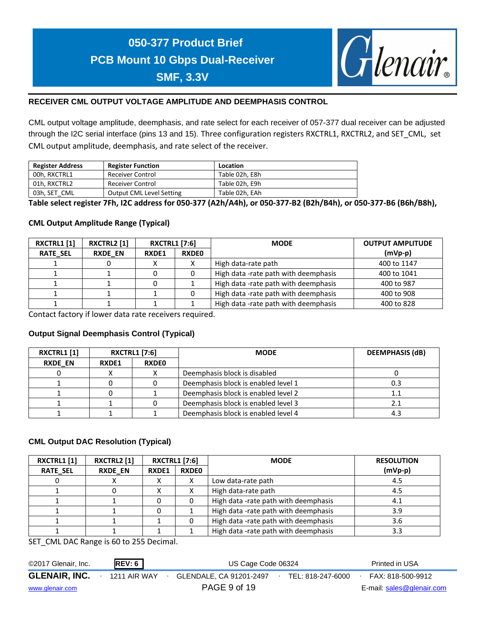

### **RECEIVER CML OUTPUT VOLTAGE AMPLITUDE AND DEEMPHASIS CONTROL**

CML output voltage amplitude, deemphasis, and rate select for each receiver of 057-377 dual receiver can be adjusted through the I2C serial interface (pins 13 and 15). Three configuration registers RXCTRL1, RXCTRL2, and SET\_CML, set CML output amplitude, deemphasis, and rate select of the receiver.

| <b>Register Address</b> | <b>Register Function</b> | Location       |
|-------------------------|--------------------------|----------------|
| 00h. RXCTRL1            | Receiver Control         | Table 02h. E8h |
| 01h. RXCTRL2            | Receiver Control         | Table 02h. E9h |
| 03h, SET CML            | Output CML Level Setting | Table 02h. EAh |

**Table select register 7Fh, I2C address for 050-377 (A2h/A4h), or 050-377-B2 (B2h/B4h), or 050-377-B6 (B6h/B8h),** 

### **CML Output Amplitude Range (Typical)**

| <b>RXCTRL1 [1]</b> | <b>RXCTRL2</b> [1] | <b>RXCTRL1 [7:6]</b>         |   | <b>MODE</b>                          | <b>OUTPUT AMPLITUDE</b> |
|--------------------|--------------------|------------------------------|---|--------------------------------------|-------------------------|
| <b>RATE SEL</b>    | <b>RXDE EN</b>     | <b>RXDEO</b><br><b>RXDE1</b> |   |                                      | $(mVp-p)$               |
|                    | 0                  |                              | Λ | High data-rate path                  | 400 to 1147             |
|                    |                    |                              |   | High data -rate path with deemphasis | 400 to 1041             |
|                    |                    |                              |   | High data -rate path with deemphasis | 400 to 987              |
|                    |                    |                              |   | High data -rate path with deemphasis | 400 to 908              |
|                    |                    |                              |   | High data -rate path with deemphasis | 400 to 828              |

Contact factory if lower data rate receivers required.

### **Output Signal Deemphasis Control (Typical)**

| <b>RXCTRL1 [1]</b> | <b>RXCTRL1 [7:6]</b>  |  | <b>MODE</b>                         | <b>DEEMPHASIS (dB)</b> |  |
|--------------------|-----------------------|--|-------------------------------------|------------------------|--|
| <b>RXDE EN</b>     | <b>RXDEO</b><br>RXDE1 |  |                                     |                        |  |
|                    |                       |  | Deemphasis block is disabled        |                        |  |
|                    |                       |  | Deemphasis block is enabled level 1 | 0.3                    |  |
|                    |                       |  | Deemphasis block is enabled level 2 |                        |  |
|                    |                       |  | Deemphasis block is enabled level 3 |                        |  |
|                    |                       |  | Deemphasis block is enabled level 4 | 4.3                    |  |

### **CML Output DAC Resolution (Typical)**

| <b>RXCTRL1 [1]</b> | <b>RXCTRL1 [7:6]</b><br><b>RXCTRL2 [1]</b> |              |              | <b>MODE</b>                          | <b>RESOLUTION</b> |
|--------------------|--------------------------------------------|--------------|--------------|--------------------------------------|-------------------|
| <b>RATE SEL</b>    | <b>RXDE EN</b>                             | <b>RXDE1</b> | <b>RXDEO</b> |                                      | $(mVp-p)$         |
|                    |                                            | x            | ⌒            | Low data-rate path                   | 4.5               |
|                    |                                            |              |              | High data-rate path                  | 4.5               |
|                    |                                            |              |              | High data -rate path with deemphasis | 4.1               |
|                    |                                            |              |              | High data -rate path with deemphasis | 3.9               |
|                    |                                            |              |              | High data -rate path with deemphasis | 3.6               |
|                    |                                            |              |              | High data -rate path with deemphasis | 3.3               |

SET\_CML DAC Range is 60 to 255 Decimal.

| ©2017 Glenair, Inc.  | <b>REV: 6</b> | US Cage Code 06324                           | Printed in USA            |
|----------------------|---------------|----------------------------------------------|---------------------------|
| <b>GLENAIR, INC.</b> | 1211 AIR WAY  | GLENDALE, CA 91201-2497<br>TEL: 818-247-6000 | FAX: 818-500-9912         |
| www.glenair.com      |               | PAGE 9 of 19                                 | E-mail: sales@glenair.com |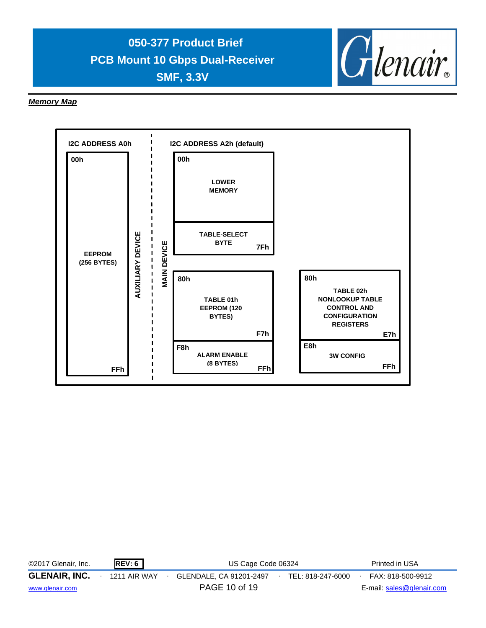

### *Memory Map*



| ©2017 Glenair, Inc.  | <b>REV: 6</b>       | US Cage Code 06324                           | Printed in USA            |
|----------------------|---------------------|----------------------------------------------|---------------------------|
| <b>GLENAIR, INC.</b> | <b>1211 AIR WAY</b> | GLENDALE, CA 91201-2497<br>TEL: 818-247-6000 | FAX: 818-500-9912         |
| www.glenair.com      |                     | PAGE 10 of 19                                | E-mail: sales@glenair.com |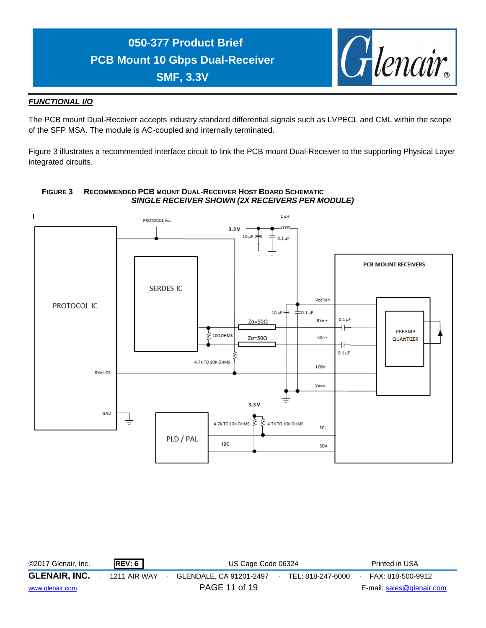

### *FUNCTIONAL I/O*

The PCB mount Dual-Receiver accepts industry standard differential signals such as LVPECL and CML within the scope of the SFP MSA. The module is AC-coupled and internally terminated.

Figure 3 illustrates a recommended interface circuit to link the PCB mount Dual-Receiver to the supporting Physical Layer integrated circuits.



### **FIGURE 3 RECOMMENDED PCB MOUNT DUAL-RECEIVER HOST BOARD SCHEMATIC** *SINGLE RECEIVER SHOWN (2X RECEIVERS PER MODULE)*

| ©2017 Glenair, Inc.  | REV: 6       | US Cage Code 06324      |  |                   |  | Printed in USA            |
|----------------------|--------------|-------------------------|--|-------------------|--|---------------------------|
| <b>GLENAIR, INC.</b> | 1211 AIR WAY | GLENDALE, CA 91201-2497 |  | TEL: 818-247-6000 |  | FAX: 818-500-9912         |
| www.glenair.com      |              | PAGE 11 of 19           |  |                   |  | E-mail: sales@glenair.com |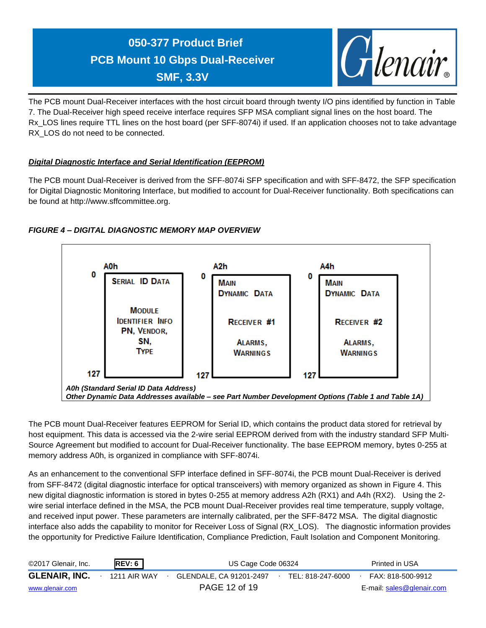

The PCB mount Dual-Receiver interfaces with the host circuit board through twenty I/O pins identified by function in Table 7. The Dual-Receiver high speed receive interface requires SFP MSA compliant signal lines on the host board. The Rx\_LOS lines require TTL lines on the host board (per SFF-8074i) if used. If an application chooses not to take advantage RX LOS do not need to be connected.

### *Digital Diagnostic Interface and Serial Identification (EEPROM)*

The PCB mount Dual-Receiver is derived from the SFF-8074i SFP specification and with SFF-8472, the SFP specification for Digital Diagnostic Monitoring Interface, but modified to account for Dual-Receiver functionality. Both specifications can be found at http://www.sffcommittee.org.



### *FIGURE 4 – DIGITAL DIAGNOSTIC MEMORY MAP OVERVIEW*

*A0h (Standard Serial ID Data Address) Other Dynamic Data Addresses available – see Part Number Development Options (Table 1 and Table 1A)*

The PCB mount Dual-Receiver features EEPROM for Serial ID, which contains the product data stored for retrieval by host equipment. This data is accessed via the 2-wire serial EEPROM derived from with the industry standard SFP Multi-Source Agreement but modified to account for Dual-Receiver functionality. The base EEPROM memory, bytes 0-255 at memory address A0h, is organized in compliance with SFF-8074i.

As an enhancement to the conventional SFP interface defined in SFF-8074i, the PCB mount Dual-Receiver is derived from SFF-8472 (digital diagnostic interface for optical transceivers) with memory organized as shown in Figure 4. This new digital diagnostic information is stored in bytes 0-255 at memory address A2h (RX1) and A4h (RX2). Using the 2 wire serial interface defined in the MSA, the PCB mount Dual-Receiver provides real time temperature, supply voltage, and received input power. These parameters are internally calibrated, per the SFF-8472 MSA. The digital diagnostic interface also adds the capability to monitor for Receiver Loss of Signal (RX\_LOS). The diagnostic information provides the opportunity for Predictive Failure Identification, Compliance Prediction, Fault Isolation and Component Monitoring.

| ©2017 Glenair, Inc.  | REV: 6       | US Cage Code 06324      | Printed in USA    |                           |
|----------------------|--------------|-------------------------|-------------------|---------------------------|
| <b>GLENAIR, INC.</b> | 1211 AIR WAY | GLENDALE. CA 91201-2497 | TEL: 818-247-6000 | FAX: 818-500-9912         |
| www.glenair.com      |              | PAGE 12 of 19           |                   | E-mail: sales@glenair.com |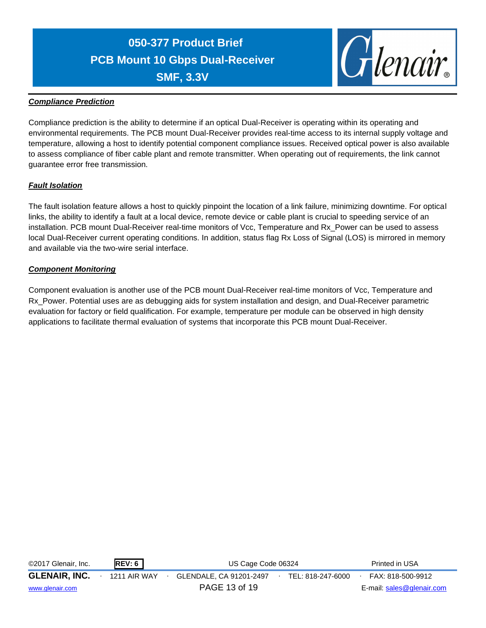

### *Compliance Prediction*

Compliance prediction is the ability to determine if an optical Dual-Receiver is operating within its operating and environmental requirements. The PCB mount Dual-Receiver provides real-time access to its internal supply voltage and temperature, allowing a host to identify potential component compliance issues. Received optical power is also available to assess compliance of fiber cable plant and remote transmitter. When operating out of requirements, the link cannot guarantee error free transmission.

### *Fault Isolation*

The fault isolation feature allows a host to quickly pinpoint the location of a link failure, minimizing downtime. For optical links, the ability to identify a fault at a local device, remote device or cable plant is crucial to speeding service of an installation. PCB mount Dual-Receiver real-time monitors of Vcc, Temperature and Rx\_Power can be used to assess local Dual-Receiver current operating conditions. In addition, status flag Rx Loss of Signal (LOS) is mirrored in memory and available via the two-wire serial interface.

### *Component Monitoring*

Component evaluation is another use of the PCB mount Dual-Receiver real-time monitors of Vcc, Temperature and Rx\_Power. Potential uses are as debugging aids for system installation and design, and Dual-Receiver parametric evaluation for factory or field qualification. For example, temperature per module can be observed in high density applications to facilitate thermal evaluation of systems that incorporate this PCB mount Dual-Receiver.

| ©2017 Glenair, Inc.  | REV: 6              | US Cage Code 06324      |                   | Printed in USA            |
|----------------------|---------------------|-------------------------|-------------------|---------------------------|
| <b>GLENAIR, INC.</b> | <b>1211 AIR WAY</b> | GLENDALE, CA 91201-2497 | TEL: 818-247-6000 | FAX: 818-500-9912         |
| www.glenair.com      |                     | PAGE 13 of 19           |                   | E-mail: sales@glenair.com |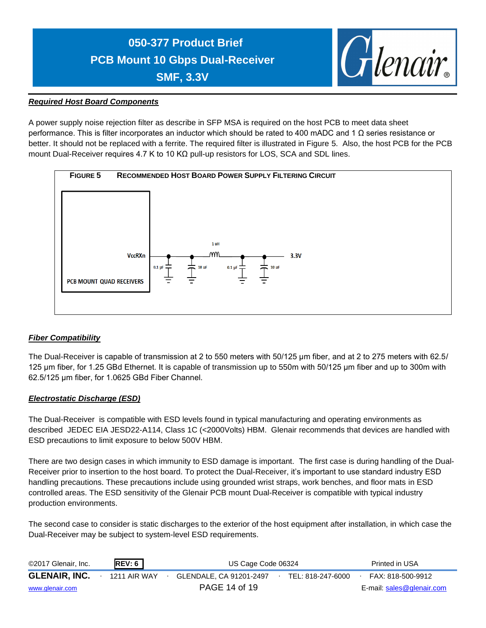

### *Required Host Board Components*

A power supply noise rejection filter as describe in SFP MSA is required on the host PCB to meet data sheet performance. This is filter incorporates an inductor which should be rated to 400 mADC and 1 Ω series resistance or better. It should not be replaced with a ferrite. The required filter is illustrated in Figure 5. Also, the host PCB for the PCB mount Dual-Receiver requires 4.7 K to 10 KΩ pull-up resistors for LOS, SCA and SDL lines.



### *Fiber Compatibility*

The Dual-Receiver is capable of transmission at 2 to 550 meters with 50/125 μm fiber, and at 2 to 275 meters with 62.5/ 125 μm fiber, for 1.25 GBd Ethernet. It is capable of transmission up to 550m with 50/125 μm fiber and up to 300m with 62.5/125 μm fiber, for 1.0625 GBd Fiber Channel.

### *Electrostatic Discharge (ESD)*

The Dual-Receiver is compatible with ESD levels found in typical manufacturing and operating environments as described JEDEC EIA JESD22-A114, Class 1C (<2000Volts) HBM. Glenair recommends that devices are handled with ESD precautions to limit exposure to below 500V HBM.

There are two design cases in which immunity to ESD damage is important. The first case is during handling of the Dual-Receiver prior to insertion to the host board. To protect the Dual-Receiver, it's important to use standard industry ESD handling precautions. These precautions include using grounded wrist straps, work benches, and floor mats in ESD controlled areas. The ESD sensitivity of the Glenair PCB mount Dual-Receiver is compatible with typical industry production environments.

The second case to consider is static discharges to the exterior of the host equipment after installation, in which case the Dual-Receiver may be subject to system-level ESD requirements.

| ©2017 Glenair, Inc.  | REV: 6       | US Cage Code 06324      | Printed in USA    |                           |
|----------------------|--------------|-------------------------|-------------------|---------------------------|
| <b>GLENAIR, INC.</b> | 1211 AIR WAY | GLENDALE, CA 91201-2497 | TEL: 818-247-6000 | FAX: 818-500-9912         |
| www.glenair.com      |              | PAGE 14 of 19           |                   | E-mail: sales@glenair.com |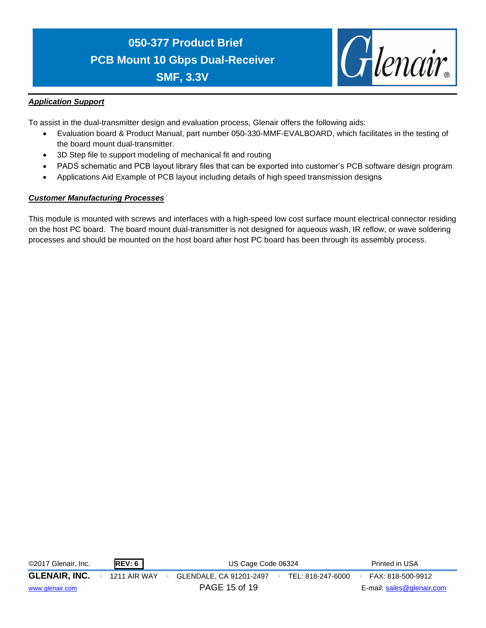

### *Application Support*

To assist in the dual-transmitter design and evaluation process, Glenair offers the following aids:

- Evaluation board & Product Manual, part number 050-330-MMF-EVALBOARD, which facilitates in the testing of the board mount dual-transmitter.
- 3D Step file to support modeling of mechanical fit and routing
- PADS schematic and PCB layout library files that can be exported into customer's PCB software design program
- Applications Aid Example of PCB layout including details of high speed transmission designs

### *Customer Manufacturing Processes*

This module is mounted with screws and interfaces with a high-speed low cost surface mount electrical connector residing on the host PC board. The board mount dual-transmitter is not designed for aqueous wash, IR reflow, or wave soldering processes and should be mounted on the host board after host PC board has been through its assembly process.

| ©2017 Glenair, Inc.  | REV: 6       | US Cage Code 06324      |  |                   |  | Printed in USA            |
|----------------------|--------------|-------------------------|--|-------------------|--|---------------------------|
| <b>GLENAIR, INC.</b> | 1211 AIR WAY | GLENDALE, CA 91201-2497 |  | TEL: 818-247-6000 |  | FAX: 818-500-9912         |
| www.glenair.com      |              | PAGE 15 of 19           |  |                   |  | E-mail: sales@glenair.com |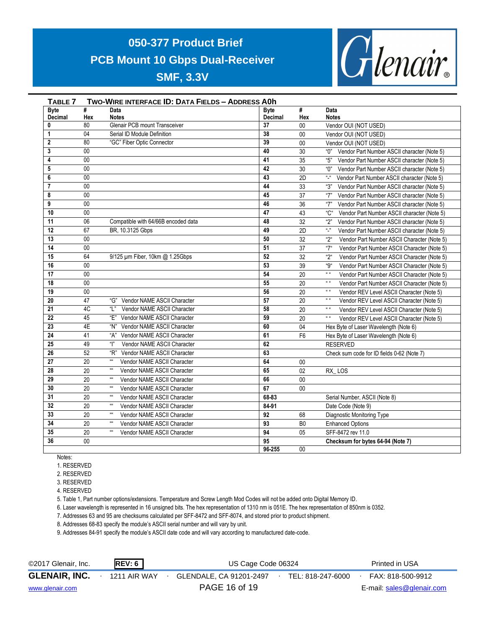

| TABLE 7         |                 | TWO-WIRE INTERFACE ID: DATA FIELDS - ADDRESS AOh          |                |                |                                                                  |
|-----------------|-----------------|-----------------------------------------------------------|----------------|----------------|------------------------------------------------------------------|
| <b>Byte</b>     | #               | Data                                                      | <b>Byte</b>    | #              | Data                                                             |
| Decimal         | Hex             | <b>Notes</b>                                              | <b>Decimal</b> | Hex            | <b>Notes</b>                                                     |
| $\bf{0}$        | 80              | <b>Glenair PCB mount Transceiver</b>                      | 37             | 00             | Vendor OUI (NOT USED)                                            |
| $\mathbf{1}$    | 04              | Serial ID Module Definition                               | 38             | $00\,$         | Vendor OUI (NOT USED)                                            |
| $\mathbf{2}$    | 80              | "GC" Fiber Optic Connector                                | 39             | 00             | Vendor OUI (NOT USED)                                            |
| 3               | $00\,$          |                                                           | 40             | 30             | "በ"<br>Vendor Part Number ASCII character (Note 5)               |
| 4               | $00\,$          |                                                           | 41             | 35             | "5"<br>Vendor Part Number ASCII character (Note 5)               |
| 5               | $00\,$          |                                                           | 42             | 30             | "በ"<br>Vendor Part Number ASCII character (Note 5)               |
| 6               | $\overline{00}$ |                                                           | 43             | 2D             | $\frac{1}{n}$<br>Vendor Part Number ASCII character (Note 5)     |
| $\overline{7}$  | $\overline{00}$ |                                                           | 44             | 33             | "З"<br>Vendor Part Number ASCII character (Note 5)               |
| 8               | $00\,$          |                                                           | 45             | 37             | "7"<br>Vendor Part Number ASCII character (Note 5)               |
| 9               | $\overline{00}$ |                                                           | 46             | 36             | "7"<br>Vendor Part Number ASCII character (Note 5)               |
| 10              | $00\,$          |                                                           | 47             | 43             | "C"<br>Vendor Part Number ASCII character (Note 5)               |
| 11              | 06              | Compatible with 64/66B encoded data                       | 48             | 32             | "2"<br>Vendor Part Number ASCII character (Note 5)               |
| 12              | 67              | BR, 10.3125 Gbps                                          | 49             | 2D             | "_"<br>Vendor Part Number ASCII character (Note 5)               |
| 13              | 00              |                                                           | 50             | 32             | "2"<br>Vendor Part Number ASCII Character (Note 5)               |
| 14              | 00              |                                                           | 51             | 37             | "7"<br>Vendor Part Number ASCII Character (Note 5)               |
| 15              | 64              | 9/125 µm Fiber, 10km @ 1.25Gbps                           | 52             | 32             | "2"<br>Vendor Part Number ASCII Character (Note 5)               |
| 16              | $00\,$          |                                                           | 53             | 39             | "Q"<br>Vendor Part Number ASCII Character (Note 5)               |
| 17              | $\overline{00}$ |                                                           | 54             | 20             | $\alpha$ $\alpha$<br>Vendor Part Number ASCII Character (Note 5) |
| 18              | $\overline{00}$ |                                                           | 55             | 20             | $\alpha/\alpha$<br>Vendor Part Number ASCII Character (Note 5)   |
| 19              | $00\,$          |                                                           | 56             | 20             | $\alpha$<br>Vendor REV Level ASCII Character (Note 5)            |
| 20              | 47              | "G" Vendor NAME ASCII Character                           | 57             | 20             | $\alpha/\alpha$<br>Vendor REV Level ASCII Character (Note 5)     |
| $\overline{21}$ | 4C              | "  "<br>Vendor NAME ASCII Character                       | 58             | 20             | $\mathbf{u}$ as<br>Vendor REV Level ASCII Character (Note 5)     |
| 22              | 45              | "E" Vendor NAME ASCII Character                           | 59             | 20             | $\alpha$ $\alpha$<br>Vendor REV Level ASCII Character (Note 5)   |
| $\overline{23}$ | 4E              | Vendor NAME ASCII Character<br>"N"                        | 60             | 04             | Hex Byte of Laser Wavelength (Note 6)                            |
| 24              | 41              | "А"<br>Vendor NAME ASCII Character                        | 61             | F <sub>6</sub> | Hex Byte of Laser Wavelength (Note 6)                            |
| 25              | 49              | " "<br>Vendor NAME ASCII Character                        | 62             |                | <b>RESERVED</b>                                                  |
| 26              | 52              | "R"<br>Vendor NAME ASCII Character                        | 63             |                | Check sum code for ID fields 0-62 (Note 7)                       |
| 27              | 20              | $\alpha\alpha$<br>Vendor NAME ASCII Character             | 64             | $00\,$         |                                                                  |
| 28              | 20              | $_{\rm III}$<br>Vendor NAME ASCII Character               | 65             | 02             | RX_LOS                                                           |
| 29              | 20              | $\alpha\alpha$<br>Vendor NAME ASCII Character             | 66             | $00\,$         |                                                                  |
| 30              | 20              | $\mathfrak{u}\mathfrak{u}$<br>Vendor NAME ASCII Character | 67             | $00\,$         |                                                                  |
| 31              | 20              | $\mathfrak{u}\mathfrak{u}$<br>Vendor NAME ASCII Character | 68-83          |                | Serial Number, ASCII (Note 8)                                    |
| 32              | 20              | $\alpha\alpha$<br>Vendor NAME ASCII Character             | 84-91          |                | Date Code (Note 9)                                               |
| 33              | 20              | $\mathfrak{u}\mathfrak{u}$<br>Vendor NAME ASCII Character | 92             | 68             | Diagnostic Monitoring Type                                       |
| 34              | 20              | $\alpha\alpha$<br>Vendor NAME ASCII Character             | 93             | B <sub>0</sub> | <b>Enhanced Options</b>                                          |
| 35              | 20              | $\mathfrak{u}\mathfrak{u}$<br>Vendor NAME ASCII Character | 94             | 05             | SFF-8472 rev 11.0                                                |
| 36              | $00\,$          |                                                           | 95             |                | Checksum for bytes 64-94 (Note 7)                                |
|                 |                 |                                                           | 96-255         | $00\,$         |                                                                  |

Notes:

1. RESERVED

2. RESERVED

3. RESERVED

4. RESERVED

5. Table 1, Part number options/extensions. Temperature and Screw Length Mod Codes will not be added onto Digital Memory ID.

6. Laser wavelength is represented in 16 unsigned bits. The hex representation of 1310 nm is 051E. The hex representation of 850nm is 0352.

7. Addresses 63 and 95 are checksums calculated per SFF-8472 and SFF-8074, and stored prior to product shipment.

8. Addresses 68-83 specify the module's ASCII serial number and will vary by unit.

9. Addresses 84-91 specify the module's ASCII date code and will vary according to manufactured date-code.

| ©2017 Glenair, Inc.  | REV: 6       | US Cage Code 06324      | Printed in USA    |                           |
|----------------------|--------------|-------------------------|-------------------|---------------------------|
| <b>GLENAIR, INC.</b> | 1211 AIR WAY | GLENDALE, CA 91201-2497 | TEL: 818-247-6000 | FAX: 818-500-9912         |
| www.glenair.com      |              | PAGE 16 of 19           |                   | E-mail: sales@glenair.com |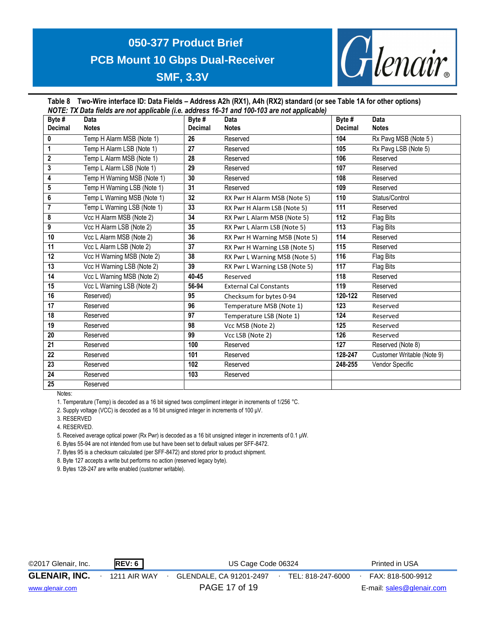

#### **Table 8 Two-Wire interface ID: Data Fields – Address A2h (RX1), A4h (RX2) standard (or see Table 1A for other options)** *NOTE: TX Data fields are not applicable (i.e. address 16-31 and 100-103 are not applicable)*

| Byte #         | Data                        | Byte #         | $1001$ L. The Data holds are not applicable the address to ST and Too Too are not applicable)<br><b>Data</b> | Byte $#$       | <b>Data</b>                |
|----------------|-----------------------------|----------------|--------------------------------------------------------------------------------------------------------------|----------------|----------------------------|
| <b>Decimal</b> | <b>Notes</b>                | <b>Decimal</b> | <b>Notes</b>                                                                                                 | <b>Decimal</b> | <b>Notes</b>               |
| 0              | Temp H Alarm MSB (Note 1)   | 26             | Reserved                                                                                                     | 104            | Rx Pavg MSB (Note 5)       |
| $\mathbf{1}$   | Temp H Alarm LSB (Note 1)   | 27             | Reserved                                                                                                     | 105            | Rx Pavg LSB (Note 5)       |
| $\mathbf 2$    | Temp L Alarm MSB (Note 1)   | 28             | Reserved                                                                                                     | 106            | Reserved                   |
| 3              | Temp L Alarm LSB (Note 1)   | 29             | Reserved                                                                                                     | 107            | Reserved                   |
| 4              | Temp H Warning MSB (Note 1) | 30             | Reserved                                                                                                     | 108            | Reserved                   |
| 5              | Temp H Warning LSB (Note 1) | 31             | Reserved                                                                                                     | 109            | Reserved                   |
| 6              | Temp L Warning MSB (Note 1) | 32             | RX Pwr H Alarm MSB (Note 5)                                                                                  | 110            | Status/Control             |
| 7              | Temp L Warning LSB (Note 1) | 33             | RX Pwr H Alarm LSB (Note 5)                                                                                  | 111            | Reserved                   |
| 8              | Vcc H Alarm MSB (Note 2)    | 34             | RX Pwr L Alarm MSB (Note 5)                                                                                  | 112            | Flag Bits                  |
| 9              | Vcc H Alarm LSB (Note 2)    | 35             | RX Pwr L Alarm LSB (Note 5)                                                                                  | 113            | Flag Bits                  |
| 10             | Vcc L Alarm MSB (Note 2)    | 36             | RX Pwr H Warning MSB (Note 5)                                                                                | 114            | Reserved                   |
| 11             | Vcc L Alarm LSB (Note 2)    | 37             | RX Pwr H Warning LSB (Note 5)                                                                                | 115            | Reserved                   |
| 12             | Vcc H Warning MSB (Note 2)  | 38             | RX Pwr L Warning MSB (Note 5)                                                                                | 116            | Flag Bits                  |
| 13             | Vcc H Warning LSB (Note 2)  | 39             | RX Pwr L Warning LSB (Note 5)                                                                                | 117            | Flag Bits                  |
| 14             | Vcc L Warning MSB (Note 2)  | 40-45          | Reserved                                                                                                     | 118            | Reserved                   |
| 15             | Vcc L Warning LSB (Note 2)  | 56-94          | <b>External Cal Constants</b>                                                                                | 119            | Reserved                   |
| 16             | Reserved)                   | 95             | Checksum for bytes 0-94                                                                                      | 120-122        | Reserved                   |
| 17             | Reserved                    | 96             | Temperature MSB (Note 1)                                                                                     | 123            | Reserved                   |
| 18             | Reserved                    | 97             | Temperature LSB (Note 1)                                                                                     | 124            | Reserved                   |
| 19             | Reserved                    | 98             | Vcc MSB (Note 2)                                                                                             | 125            | Reserved                   |
| 20             | Reserved                    | 99             | Vcc LSB (Note 2)                                                                                             | 126            | Reserved                   |
| 21             | Reserved                    | 100            | Reserved                                                                                                     | 127            | Reserved (Note 8)          |
| 22             | Reserved                    | 101            | Reserved                                                                                                     | 128-247        | Customer Writable (Note 9) |
| 23             | Reserved                    | 102            | Reserved                                                                                                     | 248-255        | Vendor Specific            |
| 24             | Reserved                    | 103            | Reserved                                                                                                     |                |                            |
| 25             | Reserved                    |                |                                                                                                              |                |                            |

Notes:

1. Temperature (Temp) is decoded as a 16 bit signed twos compliment integer in increments of 1/256 °C.

2. Supply voltage (VCC) is decoded as a 16 bit unsigned integer in increments of 100 μV.

3. RESERVED

4. RESERVED.

5. Received average optical power (Rx Pwr) is decoded as a 16 bit unsigned integer in increments of 0.1 μW.

6. Bytes 55-94 are not intended from use but have been set to default values per SFF-8472.

7. Bytes 95 is a checksum calculated (per SFF-8472) and stored prior to product shipment.

8. Byte 127 accepts a write but performs no action (reserved legacy byte).

9. Bytes 128-247 are write enabled (customer writable).

| ©2017 Glenair, Inc.  | REV: 6       | US Cage Code 06324                           | Printed in USA            |
|----------------------|--------------|----------------------------------------------|---------------------------|
| <b>GLENAIR, INC.</b> | 1211 AIR WAY | GLENDALE, CA 91201-2497<br>TEL: 818-247-6000 | FAX: 818-500-9912         |
| www.glenair.com      |              | PAGE 17 of 19                                | E-mail: sales@glenair.com |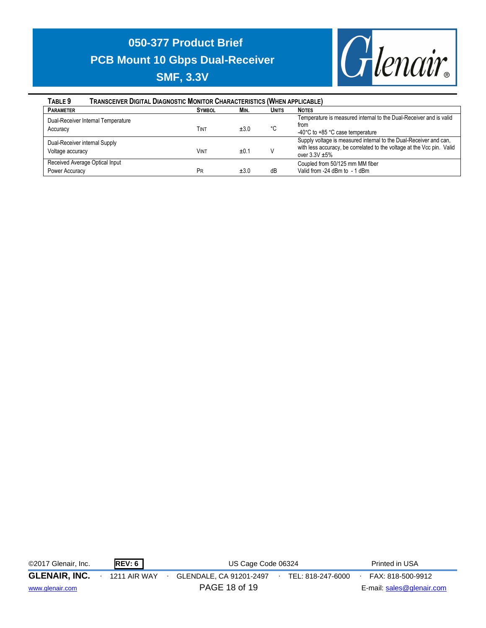

| <b>TRANSCEIVER DIGITAL DIAGNOSTIC MONITOR CHARACTERISTICS (WHEN APPLICABLE)</b><br>TABLE <sub>9</sub> |               |      |              |                                                                        |
|-------------------------------------------------------------------------------------------------------|---------------|------|--------------|------------------------------------------------------------------------|
| <b>PARAMETER</b>                                                                                      | <b>SYMBOL</b> | MIN. | <b>UNITS</b> | <b>NOTES</b>                                                           |
| Dual-Receiver Internal Temperature                                                                    |               |      |              | Temperature is measured internal to the Dual-Receiver and is valid     |
| Accuracy                                                                                              | Tint          | ±3.0 | °C           | from                                                                   |
|                                                                                                       |               |      |              | -40°C to +85 °C case temperature                                       |
| Dual-Receiver internal Supply                                                                         |               |      |              | Supply voltage is measured internal to the Dual-Receiver and can,      |
| Voltage accuracy                                                                                      | Vint          | ±0.1 |              | with less accuracy, be correlated to the voltage at the Vcc pin. Valid |
|                                                                                                       |               |      |              | over $3.3V \pm 5%$                                                     |
| Received Average Optical Input                                                                        |               |      |              | Coupled from 50/125 mm MM fiber                                        |
| Power Accuracy                                                                                        | PR            | ±3.0 | dB           | Valid from -24 dBm to - 1 dBm                                          |

| ©2017 Glenair, Inc.  | <b>REV: 6</b> | US Cage Code 06324      | Printed in USA    |                           |
|----------------------|---------------|-------------------------|-------------------|---------------------------|
| <b>GLENAIR, INC.</b> | 1211 AIR WAY  | GLENDALE, CA 91201-2497 | TEL: 818-247-6000 | FAX: 818-500-9912         |
| www.glenair.com      |               | PAGE 18 of 19           |                   | E-mail: sales@glenair.com |